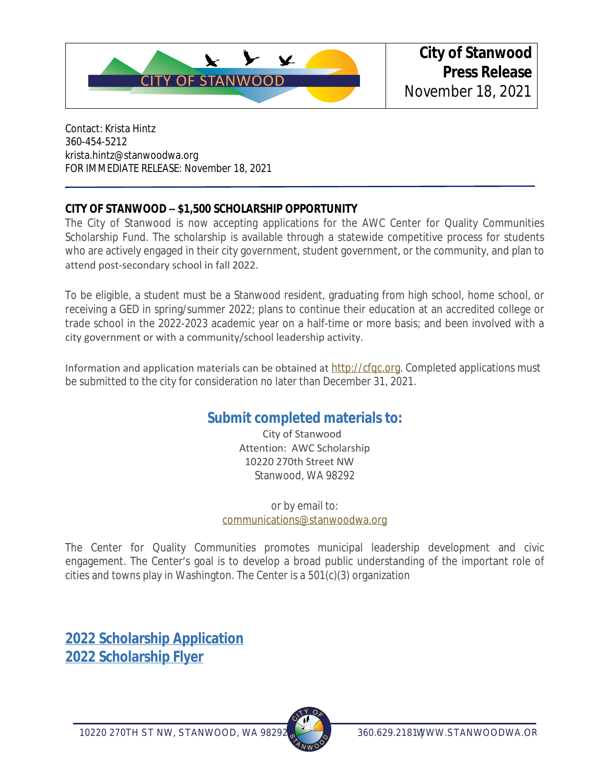

Contact: Krista Hintz 360-454-5212 krista.hintz@stanwoodwa.org FOR IMMEDIATE RELEASE: November 18, 2021

## **CITY OF STANWOOD – \$1,500 SCHOLARSHIP OPPORTUNITY**

The City of Stanwood is now accepting applications for the AWC Center for Quality Communities Scholarship Fund. The scholarship is available through a statewide competitive process for students who are actively engaged in their city government, student government, or the community, and plan to attend post-secondary school in fall 2022.

To be eligible, a student must be a Stanwood resident, graduating from high school, home school, or receiving a GED in spring/summer 2022; plans to continue their education at an accredited college or trade school in the 2022-2023 academic year on a half-time or more basis; and been involved with a city government or with a community/school leadership activity.

Information and application materials can be obtained at [http://cfqc.org](https://www.cfqc.org/scholarships/#apply). Completed applications must be submitted to the city for consideration no later than December 31, 2021.

## **Submit completed materials to:**

City of Stanwood Attention: AWC Scholarship 10220 270th Street NW Stanwood, WA 98292

or by email to: [communications@stanwoodwa.org](mailto:communications@stanwoodwa.org)

The Center for Quality Communities promotes municipal leadership development and civic engagement. The Center's goal is to develop a broad public understanding of the important role of cities and towns play in Washington. The Center is a 501(c)(3) organization

**[2022 Scholarship Application](https://www.cfqc.org/wp-content/uploads/2021/10/CFQCApplication.pdf) [2022 Scholarship Flyer](https://www.cfqc.org/wp-content/uploads/2021/10/cfqcscholarshipflyer.pdf)**